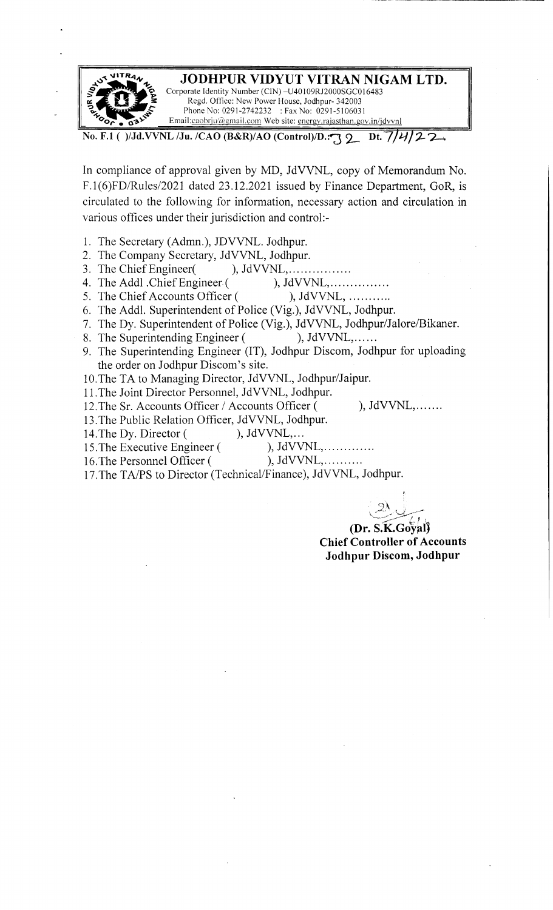

**No. F.1 ( )/Jd.VVNL /Ju. /CAO (B&R)/AO (Control)/D.:**  $\sqrt{2}$  **Dt.**  $7/4/2$  **2...** 

In compliance of approval given by MD, JdVVNL, copy of Memorandum No. F.1(6)FD/Rules/2021 dated 23.12.2021 issued by Finance Department, GoR, is circulated to the following for information, necessary action and circulation in various offices under their jurisdiction and control:-

- 1. The Secretary (Admn.), JDVVNL. Jodhpur.
- 2. The Company Secretary, JdVVNL, Jodhpur.
- 3. The Chief Engineer(), JdVVNL, ... ... ... .......
- 4. The Addl .Chief Engineer (
(
), JdVVNL, ................<br>
5. The Chief Accounts Officer (
), JdVVNL, ...........
- 5. The Chief Accounts Officer (
- 6. The Addl. Superintendent of Police (Vig.), JdVVNL, Jodhpur.
- 7. The Dy. Superintendent of Police (Vig.), JdVVNL, Jodhpur/Jalore/Bikaner.
- 8. The Superintending Engineer ( ), JdVVNL,......
- 9. The Superintending Engineer (IT), Jodhpur Discom, Jodhpur for uploading the order on Jodhpur Discom's site.
- 10.The TA to Managing Director, JdVVNL, Jodhpur/Jaipur.
- 11. The Joint Director Personnel, JdVVNL, Jodhpur.
- 12. The Sr. Accounts Officer / Accounts Officer ( ), JdVVNL,.......
- 13. The Public Relation Officer, JdVVNL, Jodhpur.<br>14. The Dy. Director (), JdVVNL,...
- 
- 14. The Dy. Director (
(b), JdVVNL,...<br>
15. The Executive Engineer (
), JdVVNL,............. 15. The Executive Engineer (
- 16. The Personnel Officer ( ), JdVVNL, ... ... ...
- 17.The TA/PS to Director (Technical/Finance), JdVVNL, Jodhpur.

 $2y$ 

**(Dr. s:K.Goy?l) Chief Controller of Accounts Jodhpur Discom, Jodhpur**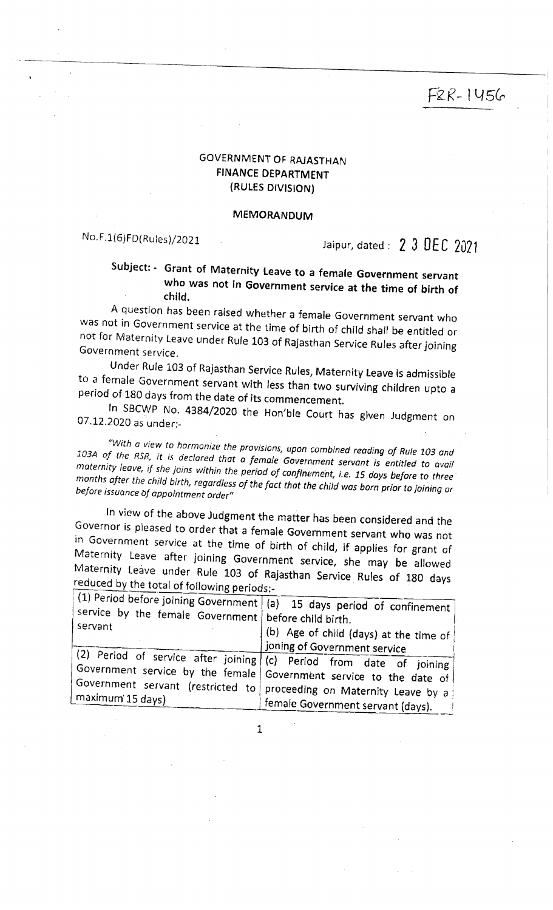# F&R- 1456

## GOVERNMENT OF RAJASTHAN FINANCE DEPARTMENT (RULES DIVISION)

## MEMORANDUM

## No. F.1(6)FD( Ru les)/2021

## Jaipur, dated :  $23$  DEC 2021

## Subject: - Grant of Maternity Leave to a female Government servant who was not in Government service at the time of birth of child.

A question has been raised whether a female Government servant who was not in Government service at the time of birth of child shalf be entitled or not for Maternity leave under Rufe 103 of Rajasthan Service Rules after joining Government service.

Under Rule 103 of Rajasthan Service Rules, Maternity Leave is admissible to a female Government servant with *less* than two surviving children upto a period of 180 days from the date of its commencement.

In SBCWP No. 4384/2020 the Hon'ble Court has given Judgment on 07.12.2020 as under:-

*'"With a view to harmonize the provisions, upon combined reading of Rule 103 and*  103A of the RSR, it is declared that a female Government servant is entitled to avail *maternity leave,* 1/ *she joins within the period of confinement,* t.e. *15 days before to three months after the child birth regardless of the fact that the child was born prior* to *joining or before issuance bf appointment order"* 

In view of the above Judgment the matter has been considered and the Governor is pleased to order that a female Government servant who was not in Government service at the time of birth of child, if applies for grant of Maternity Leave after joining Government service, she may be allowed Maternity Leave under Rule 103 of Rajasthan Service. Rules of 180 days reduced by the total of following periods:-

| reduced by the total of following periods:-                       | The or indication before nutries of 180 days                                                                                                                                                                                                           |
|-------------------------------------------------------------------|--------------------------------------------------------------------------------------------------------------------------------------------------------------------------------------------------------------------------------------------------------|
| service by the female Government   before child birth.<br>servant | $\vert$ (1) Period before joining Government $\vert$ (a) 15 days period of confinement<br>(b) Age of child (days) at the time of<br>joning of Government service                                                                                       |
| maximum 15 days)                                                  | (2) Period of service after joining (c) Period from date of joining<br>Government service by the female Government service to the date of<br>Government servant (restricted to proceeding on Maternity Leave by a<br>female Government servant (days). |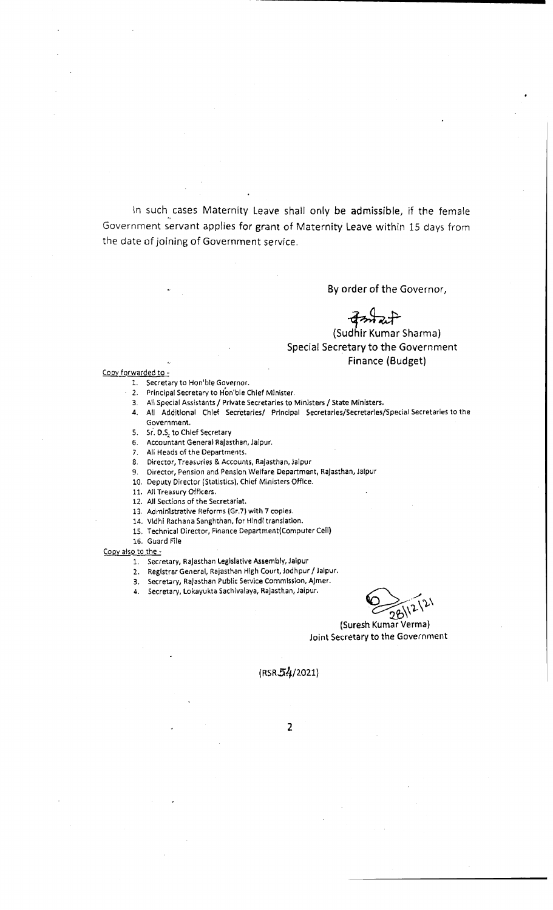In such cases Maternity Leave shall only be admissible, if the female Government servant applies for grant of Maternity leave within 15 days from the date of joining of Government service .

By order of the Governor,

(Sud oder of the Governor,<br>Thir Kumar Sharma)<br>Tary to the Governme hir Kumar Sharma) Special Secretary to the Government Finance (Budget)

#### Copy forwarded to -

- 1. Secretary to Hon'ble Governor.
- 2. Principal Secretary to Hon'ble Chief Minister.
- 
- 3. All Special Assistants/ Private Secretaries to Ministers/ State Ministers. 4. All Additional Ch1ef Secretaries/ Principal Secretaries/Secretaries/Special Secretaries to the
- Government.
- 5. Sr. D.S. to Chief Secretary
- 6. Accountant General Rajasthan, Jaipur.
- 7. All Heads of the Departments.
- 8. Director, Treasuries & Accounts, Rajasthan, Jaipur
- 9. Director, Pension and Penslon Welfare Department, Rajasthan, Jaipur
- 10. Deputy Director (Statistics), Chief Ministers Office.
- 11. All Treasury Officers.
- 12. All Sections of the Secretariat.
- 13. Admin1strative Reforms (Gr.7) with 7 copies.
- 14. Vldhi Rachana Sanghthan, for Hind{ translation.
- 15. Technical Director, Finance Department(Computer Cell)
- 16. Guard File

Copy also to the -

- 1. Secretary, Rajasthan Legislative Assembly, Jaipur
- 2. Registrar General, Rajasthan High Court, Jodhpur / Jaipur.
- 3. Secretary, Rajasthan Public Service Commission, AJmer.
- 4. Secretary, Lokayukta Sachivalaya, Rajasthan, Jaipur.

 $\bigotimes_{28\sqrt{2}}$ <br>(Suresh Kumar Verma)  $\widetilde{\mathfrak{p}}$  $2^{21}$  $\mathcal{N}_{\mathcal{A}}$ 

Joint Secretary to the Government

(RSR54/2021)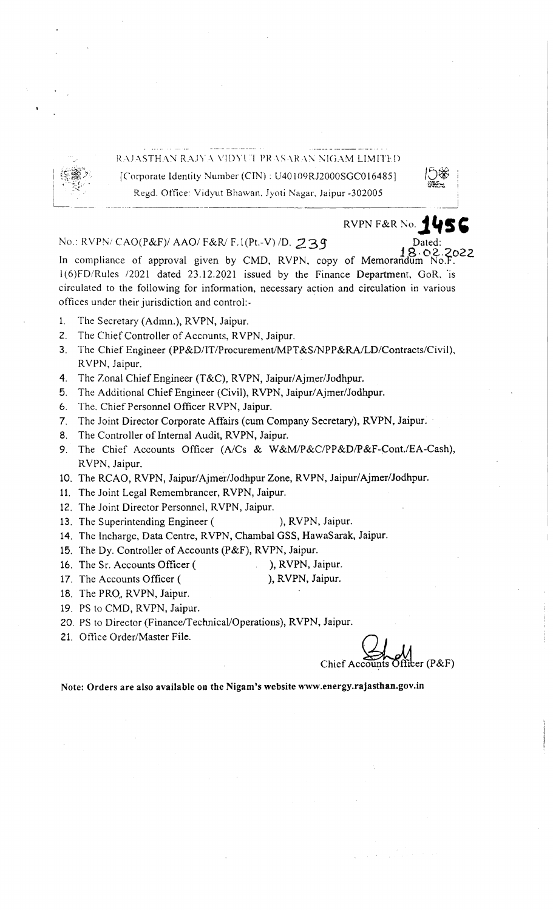

## RAJASTHAN RAJYA VIDYUT PRASARAN NIGAM LIMITED [Corporate Identity Number (CTN) : U40109RJ2000SGC0 164851 Regd. Office: Vidyut Bhawan, Jyoti Nagar, Jaipur -302005

**RVPN F&R No. 1456** 

## No.: RVPN/ CAO(P&F)/ AAO/ F&R/ F.1(Pt.-V) /D. 239

Dated:<br>18.02.2022<br>Idum\_No F In compliance of approval given by CMD, RVPN, copy of Memorandum l ( 6 )FD/Rules /2021 dated 23.12.2021 issued by the Finance Department, GoR, ·is circulated to the following for information, necessary action and circulation in various offices under their jurisdiction and control.-

- !. The Secretary (Admn.), RVPN, Jaipur.
- 2. The Chief Controller of Accounts, RVPN, Jaipur.
- 3. The Chief Engineer (PP&D/IT/Procurement/MPT&S/NPP&RA/LD/Contracts/Civil), RVPN, Jaipur.
- 4. The Zonal Chief Engineer (T&C), RVPN, Jaipur/Ajmer/Jodhpur.
- 5. The Additional Chief Engineer (Civil), **RVPN,** Jaipur/ Ajmer/Jodhpur.
- 6. The, Chief Personnel Officer RVPN, Jaipur.
- 7. The Joint Director Corporate Affairs (cum Company Secretary), RVPN, Jaipur.
- 8. The Controller of Internal Audit, RVPN, Jaipur.
- 9. The Chief Accounts Officer (A/Cs & W&M/P&C/PP&D/P&F-Cont./EA-Cash), RVPN, Jaipur.
- 10. The RCAO, RVPN, Jaipur/Ajmer/Jodhpur Zone, RVPN, Jaipur/Ajmer/Jodhpur.
- 11. The Joint Legal Remembrancer, RVPN, Jaipur.
- 12. The Joint Director Personnel, RVPN, Jaipur.
- 13. The Superintending Engineer ( ), RVPN, Jaipur.
- 14. The lncharge, Data Centre, RVPN, Chambal GSS, HawaSarak, Jaipur.
- 15. The Dy. Controller of Accounts (P&F), **RVPN,** Jaipur.
- 16. The Sr. Accounts Officer ( ), RVPN, Jaipur.
- 17. The Accounts Officer ( ), RVPN, Jaipur.
- 18. The PRO., RVPN, Jaipur.
- 19. PS to CMD, RVPN, Jaipur.
- 20. PS to Director (Finance/Technical/Operations), RVPN, Jaipur.
- 21. Office Order/Master File.

Jaipur.<br>Chief Accounts Officer (P&F)<br>energy.rajasthan.gov.in

Note: Orders are also available on the Nigam's website www.energy.rajasthan.gov.in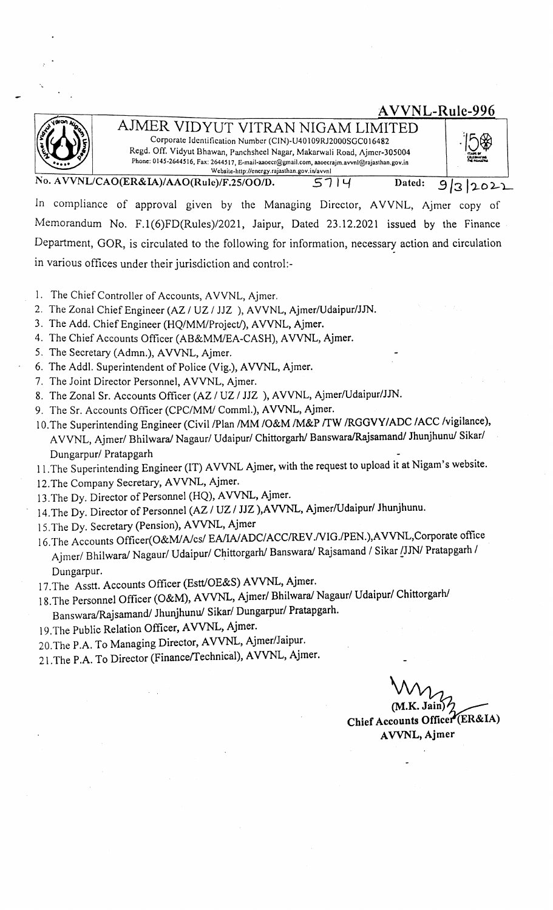AIMER VIDYUT VITRAN NIGAM LIMITED Corporate Identification Number (CIN)-U40109RJ2000SGC016482 Rcgd. Off. Vidyut Bhawan, Panchshccl Nagar, Makarwali Road, Ajmcr-305004 **Phone: 0145-2644516, Fax: 2644517, E-mail-aaoccr@gmail.com, aaoccrajm.avvnl@rajasthan.gov.in WcbsiLc-http://cncrgy.rajasthan.gov.in/avvnl** 

 $VNL/CAO(ER&IA)/AAO(Rule)/F.25/OO/D.$  57 | Y Dated:

In compliance of approval given by the Managing Director, AVVNL, Ajmer copy of Memorandum No. F.1(6)FD(Rules)/2021, Jaipur, Dated 23.12.2021 issued by the Finance Department, GOR, is circulated to the following for information, necessary action and circulation in various offices under their jurisdiction and control:-

- 1. The Chief Controller of Accounts, A VVNL, Ajmer.
- 2. The Zonal Chief Engineer (AZ / UZ / JJZ ), AVVNL, Ajmer/Udaipur/JJN.
- 3. The Add. Chief Engineer (HQ/MM/Project/), AVVNL, Ajmer.
- 4. The Chief Accounts Officer (AB&MM/EA-CASH), AVVNL, Ajmer.
- 5. The Secretary (Admn.), AVVNL, Ajmer.
- 6. The Addi. Superintendent of Police (Vig.), A VVNL, Ajmer.
- 7. The Joint Director Personnel, AVVNL, Ajmer.
- 8. The Zonal Sr. Accounts Officer (AZ / UZ / JJZ ), AVVNL, Ajmer/Udaipur/JJN.
- 9. The Sr. Accounts Officer (CPC/MM/ Comml.), AVVNL, Ajmer.
- 1 0.The Superintending Engineer (Civil /Plan /MM /O&M /M&P *rrw* /RGGVY/ADC /ACC /vigilance), A VVNL, Ajmer/ Bhilwara/ Nagaur/ Udaipur/ Chittorgarh/ Banswara/Rajsamand/ Jhunjhunu/ Sikar/ Dungarpur/ Pratapgarh
- 11.The Superintending Engineer (IT) AVVNL Ajmer, with the request to upload it at Nigam's website.
- 12.The Company Secretary, AVVNL, Ajmer.
- 13.The Dy. Director of Personnel (HQ), AVVNL, Ajmer.
- 14.The Dy. Director of Personnel (AZ/ UZ / JJZ **),A VVNL,** Ajmer/Udaipur/ Jhunjhunu.
- 15.The Dy. Secretary (Pension), **A VVNL,** Ajmer
- 16.The Accounts Officer(O&M/A/cs/ EA/IA/ADC/ACC/REV./VIG./PEN.),AVVNL,Corporate office Ajmer/ Bhilwara/ Nagaur/ Udaipur/ Chittorgarh/ Banswara/ Rajsamand / Sikar [JJN/ Pratapgarh / Dungarpur.
- 17. The Asstt. Accounts Officer (Estt/OE&S) AVVNL, Ajmer.
- 18.The Personnel Officer (O&M), **A VVNL,** Ajmer/ Bhilwara/ Nagaur/ Udaipur/ Chittorgarh/
- Banswara/Rajsamand/ Jhunjhunu/ Sikar/ Dungarpur/ Pratapgarh.
- 19. The Public Relation Officer, **A VVNL,** Ajmer.
- 20.The P.A. To Managing Director, **A VVNL,** Ajmer/Jaipur.
- 21.The P.A. To Director (Financeffechnical), **A VVNL,** Ajmer.

**(M.K. Jain** 

A VVNL-Rule-996

91312022

**Chief Accounts Office A VVNL, Ajmer**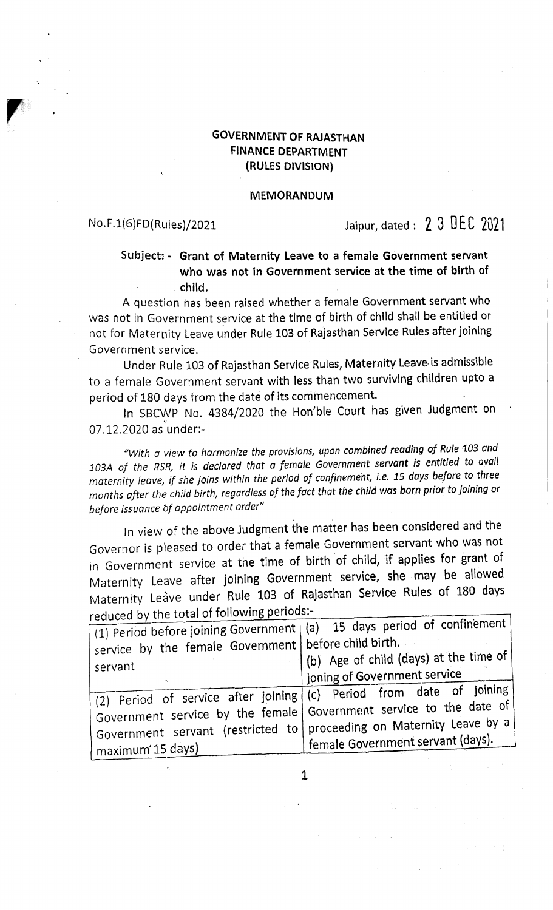## **GOVERNMENT OF RAJASTHAN FINANCE DEPARTMENT (RULES DIVISION)**

### **MEMORANDUM**

*r* 

# No.F.1(6)FD(Rules)/2021 Jaipur, dated : 2 3 DEC <sup>2021</sup>

## **Subject: - Grant of Maternity Leave to a female Government servant who was not in Government service at the time of birth of . child.**

A question has been raised whether a female Government servant who was not in Government service at the time of birth of child shall be entitled or not for Maternity Leave under Rule 103 of Rajasthan Servlce Rules after joining Government service.

Under Rule 103 of Rajasthan Service Rules, Maternity Leave. is admissible to a female Government servant with less than two surviving children upto a period of 180 days from the date of its commencement.

In SBCWP No. 4384/2020 the Hon'ble Court has given Judgment on 07.12.2020 as under:-

*"With a view* to *harmonize the provisions, upon combined reading of Rule* <sup>103</sup>*and 103A of the RSR., it i.s declared that a female Government servant is entitled* to *avail maternity leave, if she joins within the period of confinement, i.e. 15 days before to three months after the child birth, regardless of the fact that the child was born* prior to *joining* or *before issuance bf appointment order"* 

In view of the above Judgment the matter has been considered and the Governor is pleased to order that a female Government servant who was not in Government service at the time of birth of child, if applies for grant of Maternity Leave after joining Government service, she may be allowed Maternity Leave under Rule 103 of Rajasthan Service Rules of 180 days reduced by the total of following periods:-

| reduced by the total of following part                                            |                                                                                    |
|-----------------------------------------------------------------------------------|------------------------------------------------------------------------------------|
| $(1)$ Period before joining Government $(2)$ 15 days period of confinement        |                                                                                    |
| service by the female Government before child birth.                              |                                                                                    |
| servant                                                                           | (b) Age of child (days) at the time of                                             |
|                                                                                   | goning of Government service                                                       |
| $\frac{1}{2}$ (2) Period of service after joining (c) Period from date of joining |                                                                                    |
|                                                                                   | $^{\prime}$ Government service by the female Government service to the date of     |
|                                                                                   | $^{\prime}$ Government servant (restricted to   proceeding on Maternity Leave by a |
| maximum 15 days)                                                                  | female Government servant (days).                                                  |